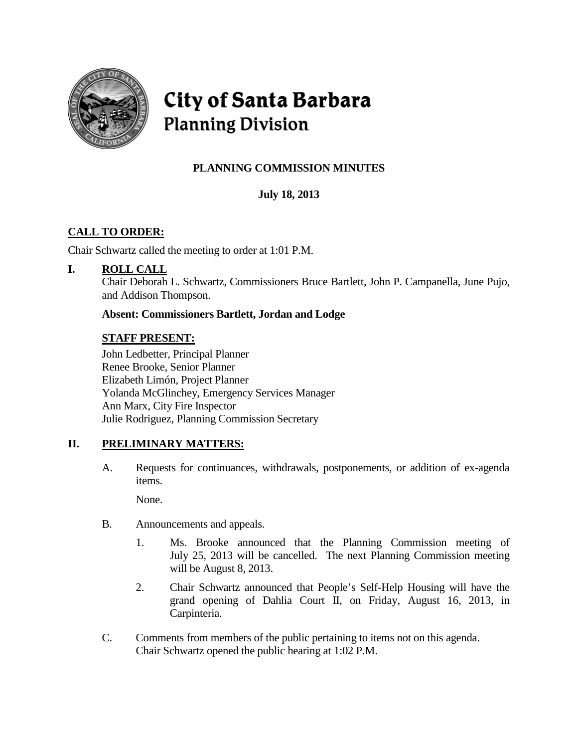

# City of Santa Barbara **Planning Division**

# **PLANNING COMMISSION MINUTES**

# **July 18, 2013**

# **CALL TO ORDER:**

Chair Schwartz called the meeting to order at 1:01 P.M.

## **I. ROLL CALL**

Chair Deborah L. Schwartz, Commissioners Bruce Bartlett, John P. Campanella, June Pujo, and Addison Thompson.

**Absent: Commissioners Bartlett, Jordan and Lodge**

## **STAFF PRESENT:**

John Ledbetter, Principal Planner Renee Brooke, Senior Planner Elizabeth Limón, Project Planner Yolanda McGlinchey, Emergency Services Manager Ann Marx, City Fire Inspector Julie Rodriguez, Planning Commission Secretary

## **II. PRELIMINARY MATTERS:**

A. Requests for continuances, withdrawals, postponements, or addition of ex-agenda items.

None.

- B. Announcements and appeals.
	- 1. Ms. Brooke announced that the Planning Commission meeting of July 25, 2013 will be cancelled. The next Planning Commission meeting will be August 8, 2013.
	- 2. Chair Schwartz announced that People's Self-Help Housing will have the grand opening of Dahlia Court II, on Friday, August 16, 2013, in Carpinteria.
- C. Comments from members of the public pertaining to items not on this agenda. Chair Schwartz opened the public hearing at 1:02 P.M.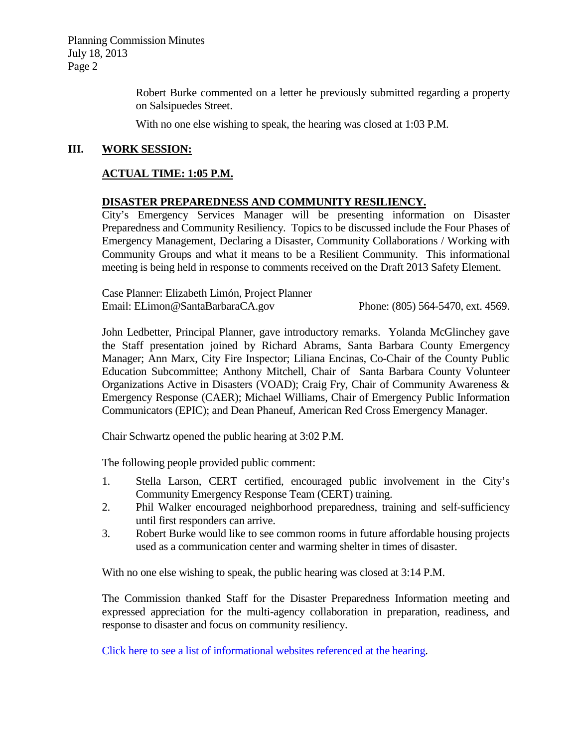Planning Commission Minutes July 18, 2013 Page 2

> Robert Burke commented on a letter he previously submitted regarding a property on Salsipuedes Street.

With no one else wishing to speak, the hearing was closed at 1:03 P.M.

#### **III. WORK SESSION:**

#### **ACTUAL TIME: 1:05 P.M.**

#### **DISASTER PREPAREDNESS AND COMMUNITY RESILIENCY.**

City's Emergency Services Manager will be presenting information on Disaster Preparedness and Community Resiliency. Topics to be discussed include the Four Phases of Emergency Management, Declaring a Disaster, Community Collaborations / Working with Community Groups and what it means to be a Resilient Community. This informational meeting is being held in response to comments received on the Draft 2013 Safety Element.

Case Planner: Elizabeth Limón, Project Planner Email: ELimon@SantaBarbaraCA.gov Phone: (805) 564-5470, ext. 4569.

John Ledbetter, Principal Planner, gave introductory remarks. Yolanda McGlinchey gave the Staff presentation joined by Richard Abrams, Santa Barbara County Emergency Manager; Ann Marx, City Fire Inspector; Liliana Encinas, Co-Chair of the County Public Education Subcommittee; Anthony Mitchell, Chair of Santa Barbara County Volunteer Organizations Active in Disasters (VOAD); Craig Fry, Chair of Community Awareness & Emergency Response (CAER); Michael Williams, Chair of Emergency Public Information Communicators (EPIC); and Dean Phaneuf, American Red Cross Emergency Manager.

Chair Schwartz opened the public hearing at 3:02 P.M.

The following people provided public comment:

- 1. Stella Larson, CERT certified, encouraged public involvement in the City's Community Emergency Response Team (CERT) training.
- 2. Phil Walker encouraged neighborhood preparedness, training and self-sufficiency until first responders can arrive.
- 3. Robert Burke would like to see common rooms in future affordable housing projects used as a communication center and warming shelter in times of disaster.

With no one else wishing to speak, the public hearing was closed at 3:14 P.M.

The Commission thanked Staff for the Disaster Preparedness Information meeting and expressed appreciation for the multi-agency collaboration in preparation, readiness, and response to disaster and focus on community resiliency.

[Click here to see a list of informational websites referenced at](http://www.santabarbaraca.gov/SBdocuments/Advisory_Groups/Planning_Commission/Archive/2013_Archives/01_Public_Notices/2013_07_18_July_18_2013_Disaster_Preparedness_Informational_Websites.pdf) the hearing.